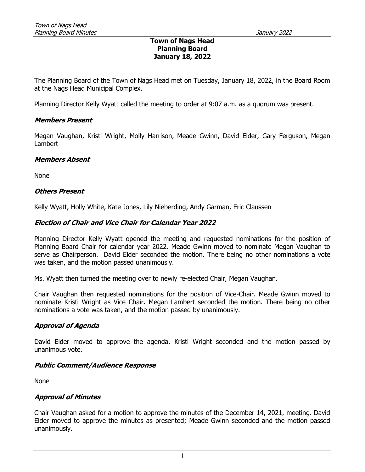### Town of Nags Head Planning Board January 18, 2022

The Planning Board of the Town of Nags Head met on Tuesday, January 18, 2022, in the Board Room at the Nags Head Municipal Complex.

Planning Director Kelly Wyatt called the meeting to order at 9:07 a.m. as a quorum was present.

### Members Present

Megan Vaughan, Kristi Wright, Molly Harrison, Meade Gwinn, David Elder, Gary Ferguson, Megan Lambert

#### Members Absent

None

### Others Present

Kelly Wyatt, Holly White, Kate Jones, Lily Nieberding, Andy Garman, Eric Claussen

### Election of Chair and Vice Chair for Calendar Year 2022

Planning Director Kelly Wyatt opened the meeting and requested nominations for the position of Planning Board Chair for calendar year 2022. Meade Gwinn moved to nominate Megan Vaughan to serve as Chairperson. David Elder seconded the motion. There being no other nominations a vote was taken, and the motion passed unanimously.

Ms. Wyatt then turned the meeting over to newly re-elected Chair, Megan Vaughan.

Chair Vaughan then requested nominations for the position of Vice-Chair. Meade Gwinn moved to nominate Kristi Wright as Vice Chair. Megan Lambert seconded the motion. There being no other nominations a vote was taken, and the motion passed by unanimously.

### Approval of Agenda

David Elder moved to approve the agenda. Kristi Wright seconded and the motion passed by unanimous vote.

### Public Comment/Audience Response

None

### Approval of Minutes

Chair Vaughan asked for a motion to approve the minutes of the December 14, 2021, meeting. David Elder moved to approve the minutes as presented; Meade Gwinn seconded and the motion passed unanimously.

1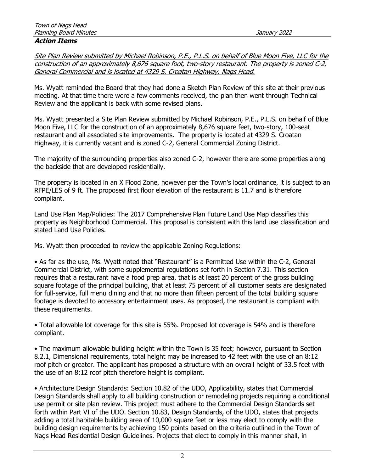#### Action Items

Site Plan Review submitted by Michael Robinson, P.E., P.L.S. on behalf of Blue Moon Five, LLC for the construction of an approximately 8,676 square foot, two-story restaurant. The property is zoned C-2, General Commercial and is located at 4329 S. Croatan Highway, Nags Head.

Ms. Wyatt reminded the Board that they had done a Sketch Plan Review of this site at their previous meeting. At that time there were a few comments received, the plan then went through Technical Review and the applicant is back with some revised plans.

Ms. Wyatt presented a Site Plan Review submitted by Michael Robinson, P.E., P.L.S. on behalf of Blue Moon Five, LLC for the construction of an approximately 8,676 square feet, two-story, 100-seat restaurant and all associated site improvements. The property is located at 4329 S. Croatan Highway, it is currently vacant and is zoned C-2, General Commercial Zoning District.

The majority of the surrounding properties also zoned C-2, however there are some properties along the backside that are developed residentially.

The property is located in an X Flood Zone, however per the Town's local ordinance, it is subject to an RFPE/LES of 9 ft. The proposed first floor elevation of the restaurant is 11.7 and is therefore compliant.

Land Use Plan Map/Policies: The 2017 Comprehensive Plan Future Land Use Map classifies this property as Neighborhood Commercial. This proposal is consistent with this land use classification and stated Land Use Policies.

Ms. Wyatt then proceeded to review the applicable Zoning Regulations:

• As far as the use, Ms. Wyatt noted that "Restaurant" is a Permitted Use within the C-2, General Commercial District, with some supplemental regulations set forth in Section 7.31. This section requires that a restaurant have a food prep area, that is at least 20 percent of the gross building square footage of the principal building, that at least 75 percent of all customer seats are designated for full-service, full menu dining and that no more than fifteen percent of the total building square footage is devoted to accessory entertainment uses. As proposed, the restaurant is compliant with these requirements.

• Total allowable lot coverage for this site is 55%. Proposed lot coverage is 54% and is therefore compliant.

• The maximum allowable building height within the Town is 35 feet; however, pursuant to Section 8.2.1, Dimensional requirements, total height may be increased to 42 feet with the use of an 8:12 roof pitch or greater. The applicant has proposed a structure with an overall height of 33.5 feet with the use of an 8:12 roof pitch therefore height is compliant.

• Architecture Design Standards: Section 10.82 of the UDO, Applicability, states that Commercial Design Standards shall apply to all building construction or remodeling projects requiring a conditional use permit or site plan review. This project must adhere to the Commercial Design Standards set forth within Part VI of the UDO. Section 10.83, Design Standards, of the UDO, states that projects adding a total habitable building area of 10,000 square feet or less may elect to comply with the building design requirements by achieving 150 points based on the criteria outlined in the Town of Nags Head Residential Design Guidelines. Projects that elect to comply in this manner shall, in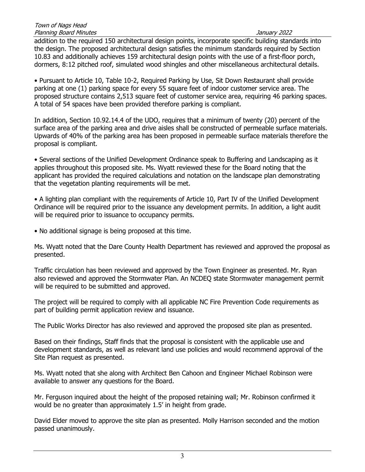addition to the required 150 architectural design points, incorporate specific building standards into the design. The proposed architectural design satisfies the minimum standards required by Section 10.83 and additionally achieves 159 architectural design points with the use of a first-floor porch, dormers, 8:12 pitched roof, simulated wood shingles and other miscellaneous architectural details.

• Pursuant to Article 10, Table 10-2, Required Parking by Use, Sit Down Restaurant shall provide parking at one (1) parking space for every 55 square feet of indoor customer service area. The proposed structure contains 2,513 square feet of customer service area, requiring 46 parking spaces. A total of 54 spaces have been provided therefore parking is compliant.

In addition, Section 10.92.14.4 of the UDO, requires that a minimum of twenty (20) percent of the surface area of the parking area and drive aisles shall be constructed of permeable surface materials. Upwards of 40% of the parking area has been proposed in permeable surface materials therefore the proposal is compliant.

• Several sections of the Unified Development Ordinance speak to Buffering and Landscaping as it applies throughout this proposed site. Ms. Wyatt reviewed these for the Board noting that the applicant has provided the required calculations and notation on the landscape plan demonstrating that the vegetation planting requirements will be met.

• A lighting plan compliant with the requirements of Article 10, Part IV of the Unified Development Ordinance will be required prior to the issuance any development permits. In addition, a light audit will be required prior to issuance to occupancy permits.

• No additional signage is being proposed at this time.

Ms. Wyatt noted that the Dare County Health Department has reviewed and approved the proposal as presented.

Traffic circulation has been reviewed and approved by the Town Engineer as presented. Mr. Ryan also reviewed and approved the Stormwater Plan. An NCDEQ state Stormwater management permit will be required to be submitted and approved.

The project will be required to comply with all applicable NC Fire Prevention Code requirements as part of building permit application review and issuance.

The Public Works Director has also reviewed and approved the proposed site plan as presented.

Based on their findings, Staff finds that the proposal is consistent with the applicable use and development standards, as well as relevant land use policies and would recommend approval of the Site Plan request as presented.

Ms. Wyatt noted that she along with Architect Ben Cahoon and Engineer Michael Robinson were available to answer any questions for the Board.

Mr. Ferguson inquired about the height of the proposed retaining wall; Mr. Robinson confirmed it would be no greater than approximately 1.5' in height from grade.

David Elder moved to approve the site plan as presented. Molly Harrison seconded and the motion passed unanimously.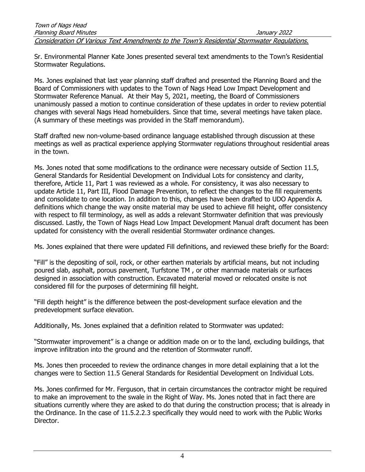Sr. Environmental Planner Kate Jones presented several text amendments to the Town's Residential Stormwater Regulations.

Ms. Jones explained that last year planning staff drafted and presented the Planning Board and the Board of Commissioners with updates to the Town of Nags Head Low Impact Development and Stormwater Reference Manual. At their May 5, 2021, meeting, the Board of Commissioners unanimously passed a motion to continue consideration of these updates in order to review potential changes with several Nags Head homebuilders. Since that time, several meetings have taken place. (A summary of these meetings was provided in the Staff memorandum).

Staff drafted new non-volume-based ordinance language established through discussion at these meetings as well as practical experience applying Stormwater regulations throughout residential areas in the town.

Ms. Jones noted that some modifications to the ordinance were necessary outside of Section 11.5, General Standards for Residential Development on Individual Lots for consistency and clarity, therefore, Article 11, Part 1 was reviewed as a whole. For consistency, it was also necessary to update Article 11, Part III, Flood Damage Prevention, to reflect the changes to the fill requirements and consolidate to one location. In addition to this, changes have been drafted to UDO Appendix A. definitions which change the way onsite material may be used to achieve fill height, offer consistency with respect to fill terminology, as well as adds a relevant Stormwater definition that was previously discussed. Lastly, the Town of Nags Head Low Impact Development Manual draft document has been updated for consistency with the overall residential Stormwater ordinance changes.

Ms. Jones explained that there were updated Fill definitions, and reviewed these briefly for the Board:

"Fill" is the depositing of soil, rock, or other earthen materials by artificial means, but not including poured slab, asphalt, porous pavement, Turfstone TM , or other manmade materials or surfaces designed in association with construction. Excavated material moved or relocated onsite is not considered fill for the purposes of determining fill height.

"Fill depth height" is the difference between the post-development surface elevation and the predevelopment surface elevation.

Additionally, Ms. Jones explained that a definition related to Stormwater was updated:

"Stormwater improvement" is a change or addition made on or to the land, excluding buildings, that improve infiltration into the ground and the retention of Stormwater runoff.

Ms. Jones then proceeded to review the ordinance changes in more detail explaining that a lot the changes were to Section 11.5 General Standards for Residential Development on Individual Lots.

Ms. Jones confirmed for Mr. Ferguson, that in certain circumstances the contractor might be required to make an improvement to the swale in the Right of Way. Ms. Jones noted that in fact there are situations currently where they are asked to do that during the construction process; that is already in the Ordinance. In the case of 11.5.2.2.3 specifically they would need to work with the Public Works Director.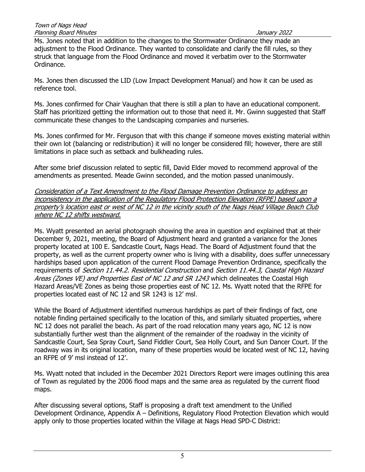Ms. Jones noted that in addition to the changes to the Stormwater Ordinance they made an adjustment to the Flood Ordinance. They wanted to consolidate and clarify the fill rules, so they struck that language from the Flood Ordinance and moved it verbatim over to the Stormwater Ordinance.

Ms. Jones then discussed the LID (Low Impact Development Manual) and how it can be used as reference tool.

Ms. Jones confirmed for Chair Vaughan that there is still a plan to have an educational component. Staff has prioritized getting the information out to those that need it. Mr. Gwinn suggested that Staff communicate these changes to the Landscaping companies and nurseries.

Ms. Jones confirmed for Mr. Ferguson that with this change if someone moves existing material within their own lot (balancing or redistribution) it will no longer be considered fill; however, there are still limitations in place such as setback and bulkheading rules.

After some brief discussion related to septic fill, David Elder moved to recommend approval of the amendments as presented. Meade Gwinn seconded, and the motion passed unanimously.

Consideration of a Text Amendment to the Flood Damage Prevention Ordinance to address an inconsistency in the application of the Regulatory Flood Protection Elevation (RFPE) based upon a property's location east or west of NC 12 in the vicinity south of the Nags Head Village Beach Club where NC 12 shifts westward.

Ms. Wyatt presented an aerial photograph showing the area in question and explained that at their December 9, 2021, meeting, the Board of Adjustment heard and granted a variance for the Jones property located at 100 E. Sandcastle Court, Nags Head. The Board of Adjustment found that the property, as well as the current property owner who is living with a disability, does suffer unnecessary hardships based upon application of the current Flood Damage Prevention Ordinance, specifically the requirements of *Section 11.44.2. Residential Construction* and *Section 11.44.3. Coastal High Hazard* Areas (Zones VE) and Properties East of NC 12 and SR 1243 which delineates the Coastal High Hazard Areas/VE Zones as being those properties east of NC 12. Ms. Wyatt noted that the RFPE for properties located east of NC 12 and SR 1243 is 12' msl.

While the Board of Adjustment identified numerous hardships as part of their findings of fact, one notable finding pertained specifically to the location of this, and similarly situated properties, where NC 12 does not parallel the beach. As part of the road relocation many years ago, NC 12 is now substantially further west than the alignment of the remainder of the roadway in the vicinity of Sandcastle Court, Sea Spray Court, Sand Fiddler Court, Sea Holly Court, and Sun Dancer Court. If the roadway was in its original location, many of these properties would be located west of NC 12, having an RFPE of 9' msl instead of 12'.

Ms. Wyatt noted that included in the December 2021 Directors Report were images outlining this area of Town as regulated by the 2006 flood maps and the same area as regulated by the current flood maps.

After discussing several options, Staff is proposing a draft text amendment to the Unified Development Ordinance, Appendix A – Definitions, Regulatory Flood Protection Elevation which would apply only to those properties located within the Village at Nags Head SPD-C District: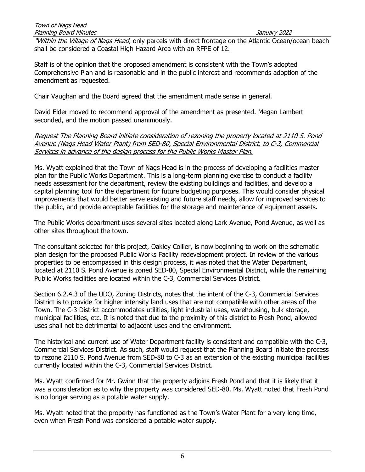"Within the Village of Nags Head, only parcels with direct frontage on the Atlantic Ocean/ocean beach shall be considered a Coastal High Hazard Area with an RFPE of 12.

Staff is of the opinion that the proposed amendment is consistent with the Town's adopted Comprehensive Plan and is reasonable and in the public interest and recommends adoption of the amendment as requested.

Chair Vaughan and the Board agreed that the amendment made sense in general.

David Elder moved to recommend approval of the amendment as presented. Megan Lambert seconded, and the motion passed unanimously.

Request The Planning Board initiate consideration of rezoning the property located at 2110 S. Pond Avenue (Nags Head Water Plant) from SED-80, Special Environmental District, to C-3, Commercial Services in advance of the design process for the Public Works Master Plan.

Ms. Wyatt explained that the Town of Nags Head is in the process of developing a facilities master plan for the Public Works Department. This is a long-term planning exercise to conduct a facility needs assessment for the department, review the existing buildings and facilities, and develop a capital planning tool for the department for future budgeting purposes. This would consider physical improvements that would better serve existing and future staff needs, allow for improved services to the public, and provide acceptable facilities for the storage and maintenance of equipment assets.

The Public Works department uses several sites located along Lark Avenue, Pond Avenue, as well as other sites throughout the town.

The consultant selected for this project, Oakley Collier, is now beginning to work on the schematic plan design for the proposed Public Works Facility redevelopment project. In review of the various properties to be encompassed in this design process, it was noted that the Water Department, located at 2110 S. Pond Avenue is zoned SED-80, Special Environmental District, while the remaining Public Works facilities are located within the C-3, Commercial Services District.

Section 6.2.4.3 of the UDO, Zoning Districts, notes that the intent of the C-3, Commercial Services District is to provide for higher intensity land uses that are not compatible with other areas of the Town. The C-3 District accommodates utilities, light industrial uses, warehousing, bulk storage, municipal facilities, etc. It is noted that due to the proximity of this district to Fresh Pond, allowed uses shall not be detrimental to adjacent uses and the environment.

The historical and current use of Water Department facility is consistent and compatible with the C-3, Commercial Services District. As such, staff would request that the Planning Board initiate the process to rezone 2110 S. Pond Avenue from SED-80 to C-3 as an extension of the existing municipal facilities currently located within the C-3, Commercial Services District.

Ms. Wyatt confirmed for Mr. Gwinn that the property adjoins Fresh Pond and that it is likely that it was a consideration as to why the property was considered SED-80. Ms. Wyatt noted that Fresh Pond is no longer serving as a potable water supply.

Ms. Wyatt noted that the property has functioned as the Town's Water Plant for a very long time, even when Fresh Pond was considered a potable water supply.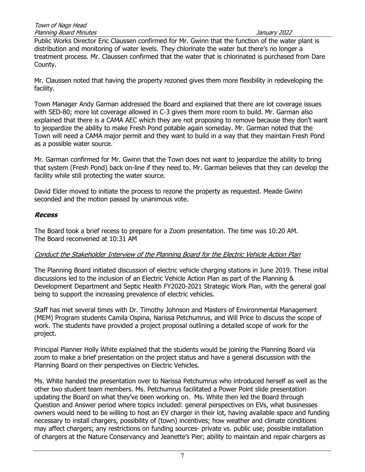Public Works Director Eric Claussen confirmed for Mr. Gwinn that the function of the water plant is distribution and monitoring of water levels. They chlorinate the water but there's no longer a treatment process. Mr. Claussen confirmed that the water that is chlorinated is purchased from Dare County.

Mr. Claussen noted that having the property rezoned gives them more flexibility in redeveloping the facility.

Town Manager Andy Garman addressed the Board and explained that there are lot coverage issues with SED-80; more lot coverage allowed in C-3 gives them more room to build. Mr. Garman also explained that there is a CAMA AEC which they are not proposing to remove because they don't want to jeopardize the ability to make Fresh Pond potable again someday. Mr. Garman noted that the Town will need a CAMA major permit and they want to build in a way that they maintain Fresh Pond as a possible water source.

Mr. Garman confirmed for Mr. Gwinn that the Town does not want to jeopardize the ability to bring that system (Fresh Pond) back on-line if they need to. Mr. Garman believes that they can develop the facility while still protecting the water source.

David Elder moved to initiate the process to rezone the property as requested. Meade Gwinn seconded and the motion passed by unanimous vote.

### Recess

The Board took a brief recess to prepare for a Zoom presentation. The time was 10:20 AM. The Board reconvened at 10:31 AM

## Conduct the Stakeholder Interview of the Planning Board for the Electric Vehicle Action Plan

The Planning Board initiated discussion of electric vehicle charging stations in June 2019. These initial discussions led to the inclusion of an Electric Vehicle Action Plan as part of the Planning & Development Department and Septic Health FY2020-2021 Strategic Work Plan, with the general goal being to support the increasing prevalence of electric vehicles.

Staff has met several times with Dr. Timothy Johnson and Masters of Environmental Management (MEM) Program students Camila Ospina, Narissa Petchumrus, and Will Price to discuss the scope of work. The students have provided a project proposal outlining a detailed scope of work for the project.

Principal Planner Holly White explained that the students would be joining the Planning Board via zoom to make a brief presentation on the project status and have a general discussion with the Planning Board on their perspectives on Electric Vehicles.

Ms. White handed the presentation over to Narissa Petchumrus who introduced herself as well as the other two student team members. Ms. Petchumrus facilitated a Power Point slide presentation updating the Board on what they've been working on. Ms. White then led the Board through Question and Answer period where topics included: general perspectives on EVs, what businesses owners would need to be willing to host an EV charger in their lot, having available space and funding necessary to install chargers, possibility of (town) incentives; how weather and climate conditions may affect chargers; any restrictions on funding sources- private vs. public use; possible installation of chargers at the Nature Conservancy and Jeanette's Pier; ability to maintain and repair chargers as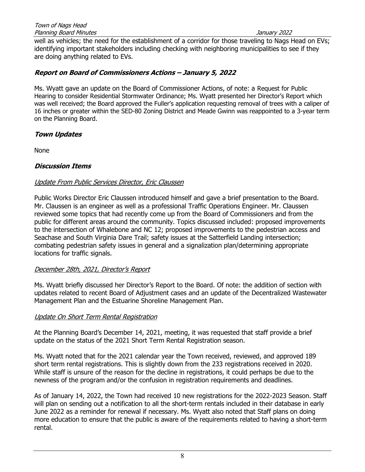well as vehicles; the need for the establishment of a corridor for those traveling to Nags Head on EVs; identifying important stakeholders including checking with neighboring municipalities to see if they are doing anything related to EVs.

## Report on Board of Commissioners Actions – January 5, 2022

Ms. Wyatt gave an update on the Board of Commissioner Actions, of note: a Request for Public Hearing to consider Residential Stormwater Ordinance; Ms. Wyatt presented her Director's Report which was well received; the Board approved the Fuller's application requesting removal of trees with a caliper of 16 inches or greater within the SED-80 Zoning District and Meade Gwinn was reappointed to a 3-year term on the Planning Board.

## Town Updates

None

## Discussion Items

## Update From Public Services Director, Eric Claussen

Public Works Director Eric Claussen introduced himself and gave a brief presentation to the Board. Mr. Claussen is an engineer as well as a professional Traffic Operations Engineer. Mr. Claussen reviewed some topics that had recently come up from the Board of Commissioners and from the public for different areas around the community. Topics discussed included: proposed improvements to the intersection of Whalebone and NC 12; proposed improvements to the pedestrian access and Seachase and South Virginia Dare Trail; safety issues at the Satterfield Landing intersection; combating pedestrian safety issues in general and a signalization plan/determining appropriate locations for traffic signals.

## December 28th, 2021, Director's Report

Ms. Wyatt briefly discussed her Director's Report to the Board. Of note: the addition of section with updates related to recent Board of Adjustment cases and an update of the Decentralized Wastewater Management Plan and the Estuarine Shoreline Management Plan.

## Update On Short Term Rental Registration

At the Planning Board's December 14, 2021, meeting, it was requested that staff provide a brief update on the status of the 2021 Short Term Rental Registration season.

Ms. Wyatt noted that for the 2021 calendar year the Town received, reviewed, and approved 189 short term rental registrations. This is slightly down from the 233 registrations received in 2020. While staff is unsure of the reason for the decline in registrations, it could perhaps be due to the newness of the program and/or the confusion in registration requirements and deadlines.

As of January 14, 2022, the Town had received 10 new registrations for the 2022-2023 Season. Staff will plan on sending out a notification to all the short-term rentals included in their database in early June 2022 as a reminder for renewal if necessary. Ms. Wyatt also noted that Staff plans on doing more education to ensure that the public is aware of the requirements related to having a short-term rental.